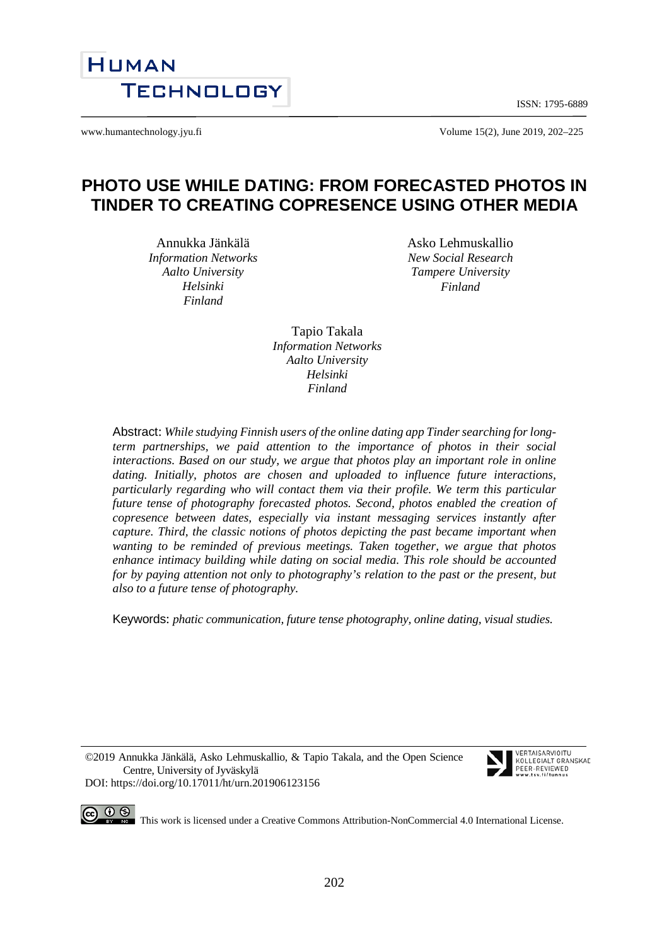ISSN: 1795-6889



www.humantechnology.jyu.fi example 15(2), June 2019, 202–225

# **PHOTO USE WHILE DATING: FROM FORECASTED PHOTOS IN TINDER TO CREATING COPRESENCE USING OTHER MEDIA**

Annukka Jänkälä *Information Networks Aalto University Helsinki Finland*

Asko Lehmuskallio *New Social Research Tampere University Finland*

Tapio Takala *Information Networks Aalto University Helsinki Finland*

Abstract: *While studying Finnish users of the online dating app Tinder searching for longterm partnerships, we paid attention to the importance of photos in their social interactions. Based on our study, we argue that photos play an important role in online dating. Initially, photos are chosen and uploaded to influence future interactions, particularly regarding who will contact them via their profile. We term this particular future tense of photography forecasted photos. Second, photos enabled the creation of copresence between dates, especially via instant messaging services instantly after capture. Third, the classic notions of photos depicting the past became important when wanting to be reminded of previous meetings. Taken together, we argue that photos enhance intimacy building while dating on social media. This role should be accounted for by paying attention not only to photography's relation to the past or the present, but also to a future tense of photography.*

Keywords: *phatic communication, future tense photography, online dating, visual studies.* 

©2019 Annukka Jänkälä, Asko Lehmuskallio, & Tapio Takala, and the Open Science Centre, University of Jyväskylä DOI: https://doi.org/10.17011/ht/urn.201906123156



**CO**  $\bigcirc$   $\bigcirc$   $\bigcirc$  This work is licensed under [a Creative Commons Attribution-NonCommercial 4.0 International License.](http://creativecommons.org/licenses/by-nc/4.0/)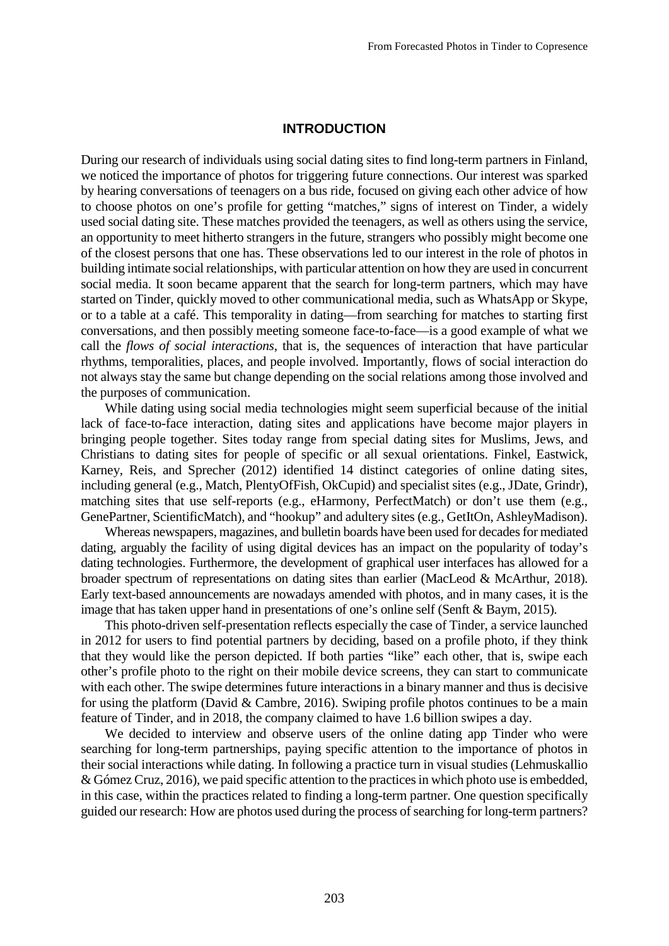#### **INTRODUCTION**

During our research of individuals using social dating sites to find long-term partners in Finland, we noticed the importance of photos for triggering future connections. Our interest was sparked by hearing conversations of teenagers on a bus ride, focused on giving each other advice of how to choose photos on one's profile for getting "matches," signs of interest on Tinder, a widely used social dating site. These matches provided the teenagers, as well as others using the service, an opportunity to meet hitherto strangers in the future, strangers who possibly might become one of the closest persons that one has. These observations led to our interest in the role of photos in building intimate social relationships, with particular attention on how they are used in concurrent social media. It soon became apparent that the search for long-term partners, which may have started on Tinder, quickly moved to other communicational media, such as WhatsApp or Skype, or to a table at a café. This temporality in dating—from searching for matches to starting first conversations, and then possibly meeting someone face-to-face—is a good example of what we call the *flows of social interactions*, that is, the sequences of interaction that have particular rhythms, temporalities, places, and people involved. Importantly, flows of social interaction do not always stay the same but change depending on the social relations among those involved and the purposes of communication.

While dating using social media technologies might seem superficial because of the initial lack of face-to-face interaction, dating sites and applications have become major players in bringing people together. Sites today range from special dating sites for Muslims, Jews, and Christians to dating sites for people of specific or all sexual orientations. Finkel, Eastwick, Karney, Reis, and Sprecher (2012) identified 14 distinct categories of online dating sites, including general (e.g., Match, PlentyOfFish, OkCupid) and specialist sites (e.g., JDate, Grindr), matching sites that use self-reports (e.g., eHarmony, PerfectMatch) or don't use them (e.g., GenePartner, ScientificMatch), and "hookup" and adultery sites (e.g., GetItOn, AshleyMadison).

Whereas newspapers, magazines, and bulletin boards have been used for decades for mediated dating, arguably the facility of using digital devices has an impact on the popularity of today's dating technologies. Furthermore, the development of graphical user interfaces has allowed for a broader spectrum of representations on dating sites than earlier (MacLeod & McArthur, 2018). Early text-based announcements are nowadays amended with photos, and in many cases, it is the image that has taken upper hand in presentations of one's online self (Senft & Baym, 2015).

This photo-driven self-presentation reflects especially the case of Tinder, a service launched in 2012 for users to find potential partners by deciding, based on a profile photo, if they think that they would like the person depicted. If both parties "like" each other, that is, swipe each other's profile photo to the right on their mobile device screens, they can start to communicate with each other. The swipe determines future interactions in a binary manner and thus is decisive for using the platform (David & Cambre, 2016). Swiping profile photos continues to be a main feature of Tinder, and in 2018, the company claimed to have 1.6 billion swipes a day.

We decided to interview and observe users of the online dating app Tinder who were searching for long-term partnerships, paying specific attention to the importance of photos in their social interactions while dating. In following a practice turn in visual studies (Lehmuskallio & Gómez Cruz, 2016), we paid specific attention to the practices in which photo use is embedded, in this case, within the practices related to finding a long-term partner. One question specifically guided our research: How are photos used during the process of searching for long-term partners?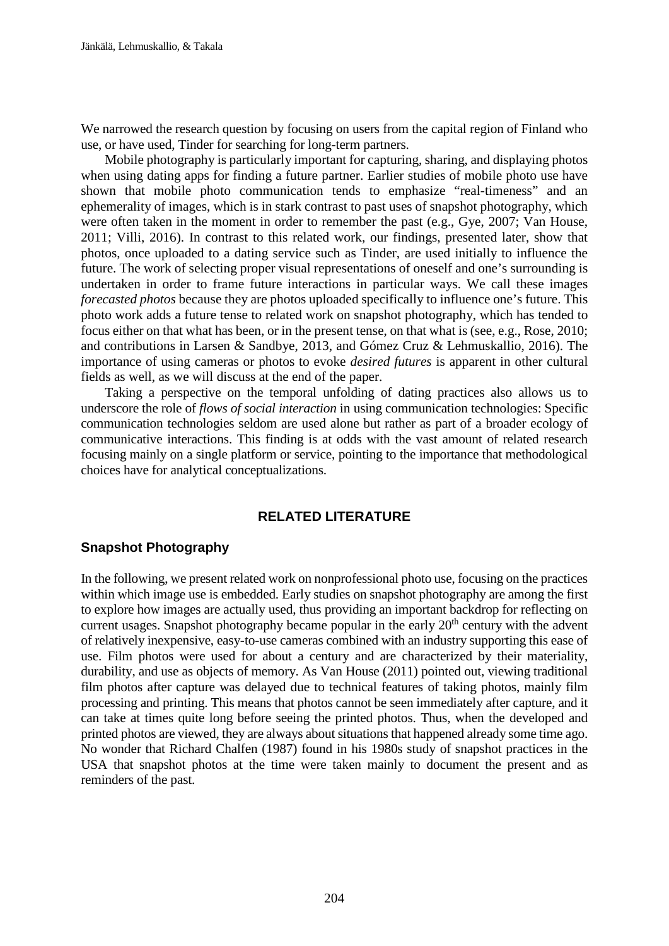We narrowed the research question by focusing on users from the capital region of Finland who use, or have used, Tinder for searching for long-term partners.

Mobile photography is particularly important for capturing, sharing, and displaying photos when using dating apps for finding a future partner. Earlier studies of mobile photo use have shown that mobile photo communication tends to emphasize "real-timeness" and an ephemerality of images, which is in stark contrast to past uses of snapshot photography, which were often taken in the moment in order to remember the past (e.g., Gye, 2007; Van House, 2011; Villi, 2016). In contrast to this related work, our findings, presented later, show that photos, once uploaded to a dating service such as Tinder, are used initially to influence the future. The work of selecting proper visual representations of oneself and one's surrounding is undertaken in order to frame future interactions in particular ways. We call these images *forecasted photos* because they are photos uploaded specifically to influence one's future. This photo work adds a future tense to related work on snapshot photography, which has tended to focus either on that what has been, or in the present tense, on that what is (see, e.g., Rose, 2010; and contributions in Larsen & Sandbye, 2013, and Gómez Cruz & Lehmuskallio, 2016). The importance of using cameras or photos to evoke *desired futures* is apparent in other cultural fields as well, as we will discuss at the end of the paper.

Taking a perspective on the temporal unfolding of dating practices also allows us to underscore the role of *flows of social interaction* in using communication technologies: Specific communication technologies seldom are used alone but rather as part of a broader ecology of communicative interactions. This finding is at odds with the vast amount of related research focusing mainly on a single platform or service, pointing to the importance that methodological choices have for analytical conceptualizations.

#### **RELATED LITERATURE**

#### **Snapshot Photography**

In the following, we present related work on nonprofessional photo use, focusing on the practices within which image use is embedded. Early studies on snapshot photography are among the first to explore how images are actually used, thus providing an important backdrop for reflecting on current usages. Snapshot photography became popular in the early  $20<sup>th</sup>$  century with the advent of relatively inexpensive, easy-to-use cameras combined with an industry supporting this ease of use. Film photos were used for about a century and are characterized by their materiality, durability, and use as objects of memory. As Van House (2011) pointed out, viewing traditional film photos after capture was delayed due to technical features of taking photos, mainly film processing and printing. This means that photos cannot be seen immediately after capture, and it can take at times quite long before seeing the printed photos. Thus, when the developed and printed photos are viewed, they are always about situations that happened already some time ago. No wonder that Richard Chalfen (1987) found in his 1980s study of snapshot practices in the USA that snapshot photos at the time were taken mainly to document the present and as reminders of the past.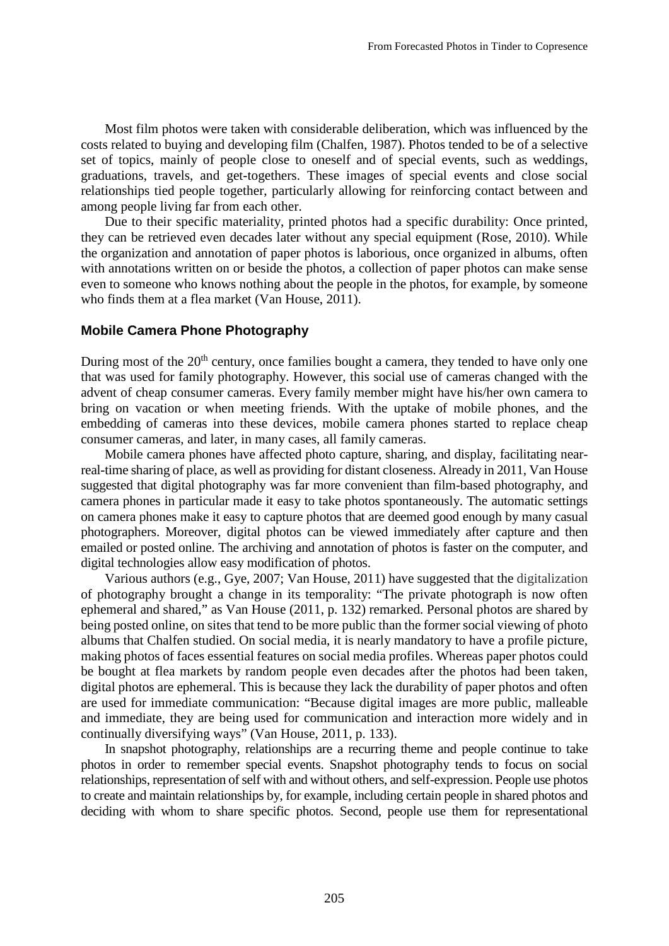Most film photos were taken with considerable deliberation, which was influenced by the costs related to buying and developing film (Chalfen, 1987). Photos tended to be of a selective set of topics, mainly of people close to oneself and of special events, such as weddings, graduations, travels, and get-togethers. These images of special events and close social relationships tied people together, particularly allowing for reinforcing contact between and among people living far from each other.

Due to their specific materiality, printed photos had a specific durability: Once printed, they can be retrieved even decades later without any special equipment (Rose, 2010). While the organization and annotation of paper photos is laborious, once organized in albums, often with annotations written on or beside the photos, a collection of paper photos can make sense even to someone who knows nothing about the people in the photos, for example, by someone who finds them at a flea market (Van House, 2011).

#### **Mobile Camera Phone Photography**

During most of the 20<sup>th</sup> century, once families bought a camera, they tended to have only one that was used for family photography. However, this social use of cameras changed with the advent of cheap consumer cameras. Every family member might have his/her own camera to bring on vacation or when meeting friends. With the uptake of mobile phones, and the embedding of cameras into these devices, mobile camera phones started to replace cheap consumer cameras, and later, in many cases, all family cameras.

Mobile camera phones have affected photo capture, sharing, and display, facilitating nearreal-time sharing of place, as well as providing for distant closeness. Already in 2011, Van House suggested that digital photography was far more convenient than film-based photography, and camera phones in particular made it easy to take photos spontaneously. The automatic settings on camera phones make it easy to capture photos that are deemed good enough by many casual photographers. Moreover, digital photos can be viewed immediately after capture and then emailed or posted online. The archiving and annotation of photos is faster on the computer, and digital technologies allow easy modification of photos.

Various authors (e.g., Gye, 2007; Van House, 2011) have suggested that the digitalization of photography brought a change in its temporality: "The private photograph is now often ephemeral and shared," as Van House (2011, p. 132) remarked. Personal photos are shared by being posted online, on sites that tend to be more public than the former social viewing of photo albums that Chalfen studied. On social media, it is nearly mandatory to have a profile picture, making photos of faces essential features on social media profiles. Whereas paper photos could be bought at flea markets by random people even decades after the photos had been taken, digital photos are ephemeral. This is because they lack the durability of paper photos and often are used for immediate communication: "Because digital images are more public, malleable and immediate, they are being used for communication and interaction more widely and in continually diversifying ways" (Van House, 2011, p. 133).

In snapshot photography, relationships are a recurring theme and people continue to take photos in order to remember special events. Snapshot photography tends to focus on social relationships, representation of self with and without others, and self-expression. People use photos to create and maintain relationships by, for example, including certain people in shared photos and deciding with whom to share specific photos. Second, people use them for representational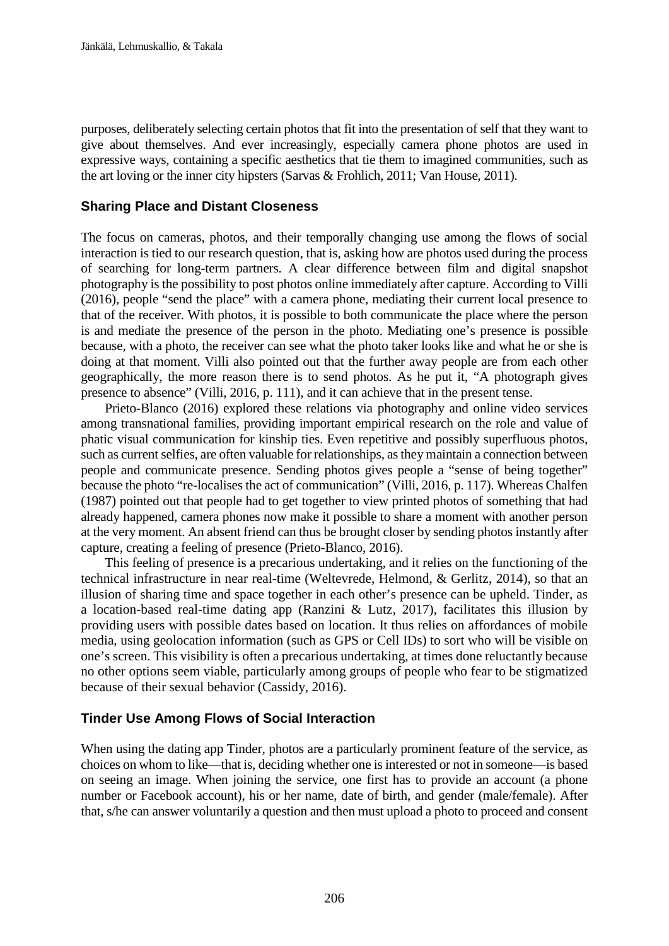purposes, deliberately selecting certain photos that fit into the presentation of self that they want to give about themselves. And ever increasingly, especially camera phone photos are used in expressive ways, containing a specific aesthetics that tie them to imagined communities, such as the art loving or the inner city hipsters (Sarvas & Frohlich, 2011; Van House, 2011).

### **Sharing Place and Distant Closeness**

The focus on cameras, photos, and their temporally changing use among the flows of social interaction is tied to our research question, that is, asking how are photos used during the process of searching for long-term partners. A clear difference between film and digital snapshot photography is the possibility to post photos online immediately after capture. According to Villi (2016), people "send the place" with a camera phone, mediating their current local presence to that of the receiver. With photos, it is possible to both communicate the place where the person is and mediate the presence of the person in the photo. Mediating one's presence is possible because, with a photo, the receiver can see what the photo taker looks like and what he or she is doing at that moment. Villi also pointed out that the further away people are from each other geographically, the more reason there is to send photos. As he put it, "A photograph gives presence to absence" (Villi, 2016, p. 111), and it can achieve that in the present tense.

Prieto-Blanco (2016) explored these relations via photography and online video services among transnational families, providing important empirical research on the role and value of phatic visual communication for kinship ties. Even repetitive and possibly superfluous photos, such as current selfies, are often valuable for relationships, as they maintain a connection between people and communicate presence. Sending photos gives people a "sense of being together" because the photo "re-localises the act of communication" (Villi, 2016, p. 117). Whereas Chalfen (1987) pointed out that people had to get together to view printed photos of something that had already happened, camera phones now make it possible to share a moment with another person at the very moment. An absent friend can thus be brought closer by sending photos instantly after capture, creating a feeling of presence (Prieto-Blanco, 2016).

This feeling of presence is a precarious undertaking, and it relies on the functioning of the technical infrastructure in near real-time (Weltevrede, Helmond, & Gerlitz, 2014), so that an illusion of sharing time and space together in each other's presence can be upheld. Tinder, as a location-based real-time dating app (Ranzini & Lutz, 2017), facilitates this illusion by providing users with possible dates based on location. It thus relies on affordances of mobile media, using geolocation information (such as GPS or Cell IDs) to sort who will be visible on one's screen. This visibility is often a precarious undertaking, at times done reluctantly because no other options seem viable, particularly among groups of people who fear to be stigmatized because of their sexual behavior (Cassidy, 2016).

### **Tinder Use Among Flows of Social Interaction**

When using the dating app Tinder, photos are a particularly prominent feature of the service, as choices on whom to like—that is, deciding whether one is interested or not in someone—is based on seeing an image. When joining the service, one first has to provide an account (a phone number or Facebook account), his or her name, date of birth, and gender (male/female). After that, s/he can answer voluntarily a question and then must upload a photo to proceed and consent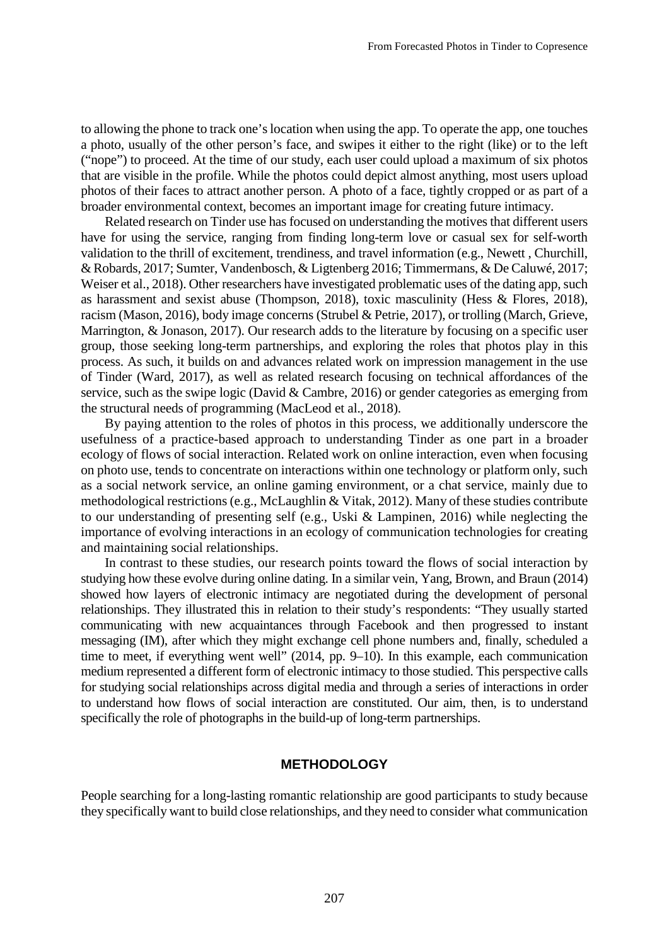to allowing the phone to track one's location when using the app. To operate the app, one touches a photo, usually of the other person's face, and swipes it either to the right (like) or to the left ("nope") to proceed. At the time of our study, each user could upload a maximum of six photos that are visible in the profile. While the photos could depict almost anything, most users upload photos of their faces to attract another person. A photo of a face, tightly cropped or as part of a broader environmental context, becomes an important image for creating future intimacy.

Related research on Tinder use has focused on understanding the motives that different users have for using the service, ranging from finding long-term love or casual sex for self-worth validation to the thrill of excitement, trendiness, and travel information (e.g., Newett , Churchill, & Robards, 2017; Sumter, Vandenbosch, & Ligtenberg 2016; Timmermans, & De Caluwé, 2017; Weiser et al., 2018). Other researchers have investigated problematic uses of the dating app, such as harassment and sexist abuse (Thompson, 2018), toxic masculinity (Hess & Flores, 2018), racism (Mason, 2016), body image concerns (Strubel & Petrie, 2017), or trolling (March, Grieve, Marrington, & Jonason, 2017). Our research adds to the literature by focusing on a specific user group, those seeking long-term partnerships, and exploring the roles that photos play in this process. As such, it builds on and advances related work on impression management in the use of Tinder (Ward, 2017), as well as related research focusing on technical affordances of the service, such as the swipe logic (David & Cambre, 2016) or gender categories as emerging from the structural needs of programming (MacLeod et al., 2018).

By paying attention to the roles of photos in this process, we additionally underscore the usefulness of a practice-based approach to understanding Tinder as one part in a broader ecology of flows of social interaction. Related work on online interaction, even when focusing on photo use, tends to concentrate on interactions within one technology or platform only, such as a social network service, an online gaming environment, or a chat service, mainly due to methodological restrictions (e.g., McLaughlin & Vitak, 2012). Many of these studies contribute to our understanding of presenting self (e.g., Uski & Lampinen, 2016) while neglecting the importance of evolving interactions in an ecology of communication technologies for creating and maintaining social relationships.

In contrast to these studies, our research points toward the flows of social interaction by studying how these evolve during online dating. In a similar vein, Yang, Brown, and Braun (2014) showed how layers of electronic intimacy are negotiated during the development of personal relationships. They illustrated this in relation to their study's respondents: "They usually started communicating with new acquaintances through Facebook and then progressed to instant messaging (IM), after which they might exchange cell phone numbers and, finally, scheduled a time to meet, if everything went well" (2014, pp. 9–10). In this example, each communication medium represented a different form of electronic intimacy to those studied. This perspective calls for studying social relationships across digital media and through a series of interactions in order to understand how flows of social interaction are constituted. Our aim, then, is to understand specifically the role of photographs in the build-up of long-term partnerships.

#### **METHODOLOGY**

People searching for a long-lasting romantic relationship are good participants to study because they specifically want to build close relationships, and they need to consider what communication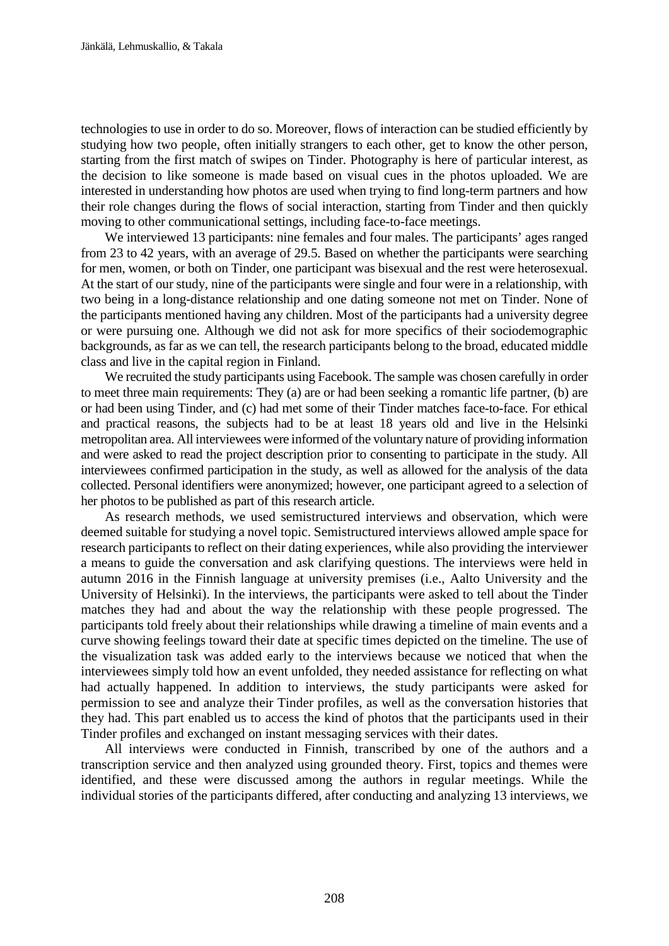technologies to use in order to do so. Moreover, flows of interaction can be studied efficiently by studying how two people, often initially strangers to each other, get to know the other person, starting from the first match of swipes on Tinder. Photography is here of particular interest, as the decision to like someone is made based on visual cues in the photos uploaded. We are interested in understanding how photos are used when trying to find long-term partners and how their role changes during the flows of social interaction, starting from Tinder and then quickly moving to other communicational settings, including face-to-face meetings.

We interviewed 13 participants: nine females and four males. The participants' ages ranged from 23 to 42 years, with an average of 29.5. Based on whether the participants were searching for men, women, or both on Tinder, one participant was bisexual and the rest were heterosexual. At the start of our study, nine of the participants were single and four were in a relationship, with two being in a long-distance relationship and one dating someone not met on Tinder. None of the participants mentioned having any children. Most of the participants had a university degree or were pursuing one. Although we did not ask for more specifics of their sociodemographic backgrounds, as far as we can tell, the research participants belong to the broad, educated middle class and live in the capital region in Finland.

We recruited the study participants using Facebook. The sample was chosen carefully in order to meet three main requirements: They (a) are or had been seeking a romantic life partner, (b) are or had been using Tinder, and (c) had met some of their Tinder matches face-to-face. For ethical and practical reasons, the subjects had to be at least 18 years old and live in the Helsinki metropolitan area. All interviewees were informed of the voluntary nature of providing information and were asked to read the project description prior to consenting to participate in the study. All interviewees confirmed participation in the study, as well as allowed for the analysis of the data collected. Personal identifiers were anonymized; however, one participant agreed to a selection of her photos to be published as part of this research article.

As research methods, we used semistructured interviews and observation, which were deemed suitable for studying a novel topic. Semistructured interviews allowed ample space for research participants to reflect on their dating experiences, while also providing the interviewer a means to guide the conversation and ask clarifying questions. The interviews were held in autumn 2016 in the Finnish language at university premises (i.e., Aalto University and the University of Helsinki). In the interviews, the participants were asked to tell about the Tinder matches they had and about the way the relationship with these people progressed. The participants told freely about their relationships while drawing a timeline of main events and a curve showing feelings toward their date at specific times depicted on the timeline. The use of the visualization task was added early to the interviews because we noticed that when the interviewees simply told how an event unfolded, they needed assistance for reflecting on what had actually happened. In addition to interviews, the study participants were asked for permission to see and analyze their Tinder profiles, as well as the conversation histories that they had. This part enabled us to access the kind of photos that the participants used in their Tinder profiles and exchanged on instant messaging services with their dates.

All interviews were conducted in Finnish, transcribed by one of the authors and a transcription service and then analyzed using grounded theory. First, topics and themes were identified, and these were discussed among the authors in regular meetings. While the individual stories of the participants differed, after conducting and analyzing 13 interviews, we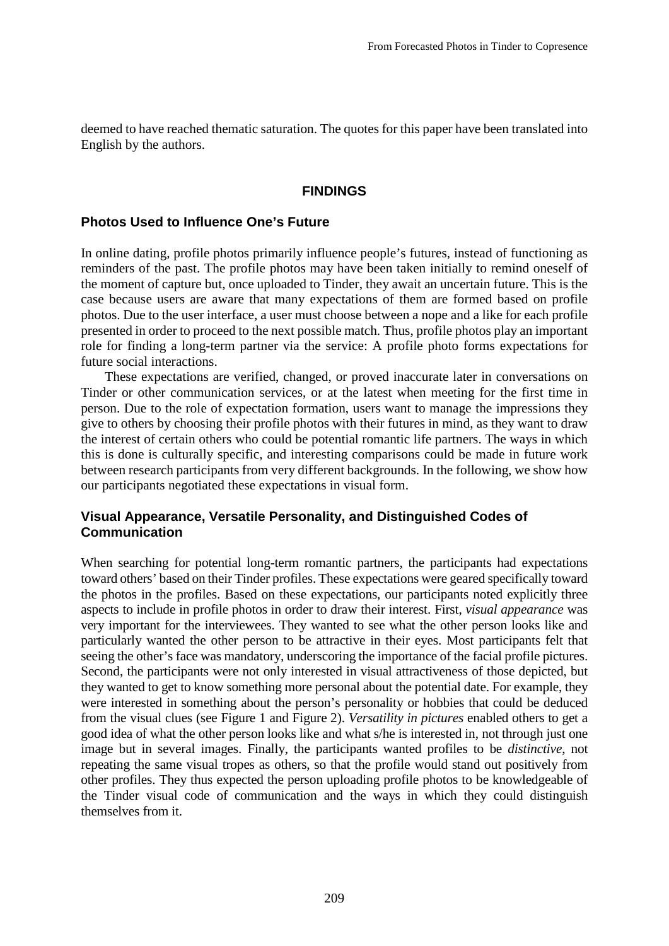deemed to have reached thematic saturation. The quotes for this paper have been translated into English by the authors.

#### **FINDINGS**

#### **Photos Used to Influence One's Future**

In online dating, profile photos primarily influence people's futures, instead of functioning as reminders of the past. The profile photos may have been taken initially to remind oneself of the moment of capture but, once uploaded to Tinder, they await an uncertain future. This is the case because users are aware that many expectations of them are formed based on profile photos. Due to the user interface, a user must choose between a nope and a like for each profile presented in order to proceed to the next possible match. Thus, profile photos play an important role for finding a long-term partner via the service: A profile photo forms expectations for future social interactions.

These expectations are verified, changed, or proved inaccurate later in conversations on Tinder or other communication services, or at the latest when meeting for the first time in person. Due to the role of expectation formation, users want to manage the impressions they give to others by choosing their profile photos with their futures in mind, as they want to draw the interest of certain others who could be potential romantic life partners. The ways in which this is done is culturally specific, and interesting comparisons could be made in future work between research participants from very different backgrounds. In the following, we show how our participants negotiated these expectations in visual form.

#### **Visual Appearance, Versatile Personality, and Distinguished Codes of Communication**

When searching for potential long-term romantic partners, the participants had expectations toward others' based on their Tinder profiles. These expectations were geared specifically toward the photos in the profiles. Based on these expectations, our participants noted explicitly three aspects to include in profile photos in order to draw their interest. First, *visual appearance* was very important for the interviewees. They wanted to see what the other person looks like and particularly wanted the other person to be attractive in their eyes. Most participants felt that seeing the other's face was mandatory, underscoring the importance of the facial profile pictures. Second, the participants were not only interested in visual attractiveness of those depicted, but they wanted to get to know something more personal about the potential date. For example, they were interested in something about the person's personality or hobbies that could be deduced from the visual clues (see Figure 1 and Figure 2). *Versatility in pictures* enabled others to get a good idea of what the other person looks like and what s/he is interested in, not through just one image but in several images. Finally, the participants wanted profiles to be *distinctive*, not repeating the same visual tropes as others, so that the profile would stand out positively from other profiles. They thus expected the person uploading profile photos to be knowledgeable of the Tinder visual code of communication and the ways in which they could distinguish themselves from it.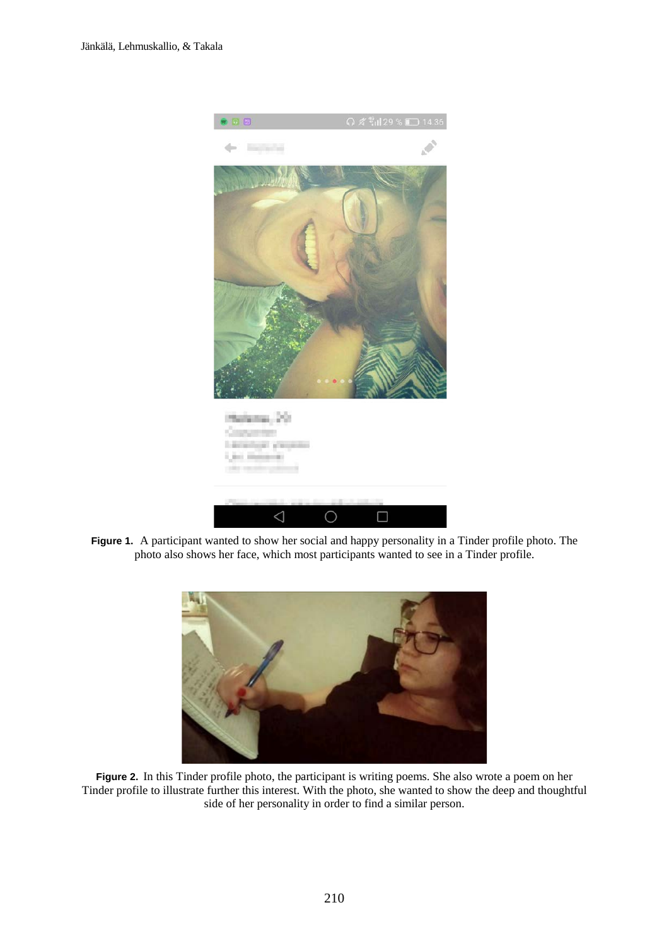

**Figure 1.** A participant wanted to show her social and happy personality in a Tinder profile photo. The photo also shows her face, which most participants wanted to see in a Tinder profile.



**Figure 2.** In this Tinder profile photo, the participant is writing poems. She also wrote a poem on her Tinder profile to illustrate further this interest. With the photo, she wanted to show the deep and thoughtful side of her personality in order to find a similar person.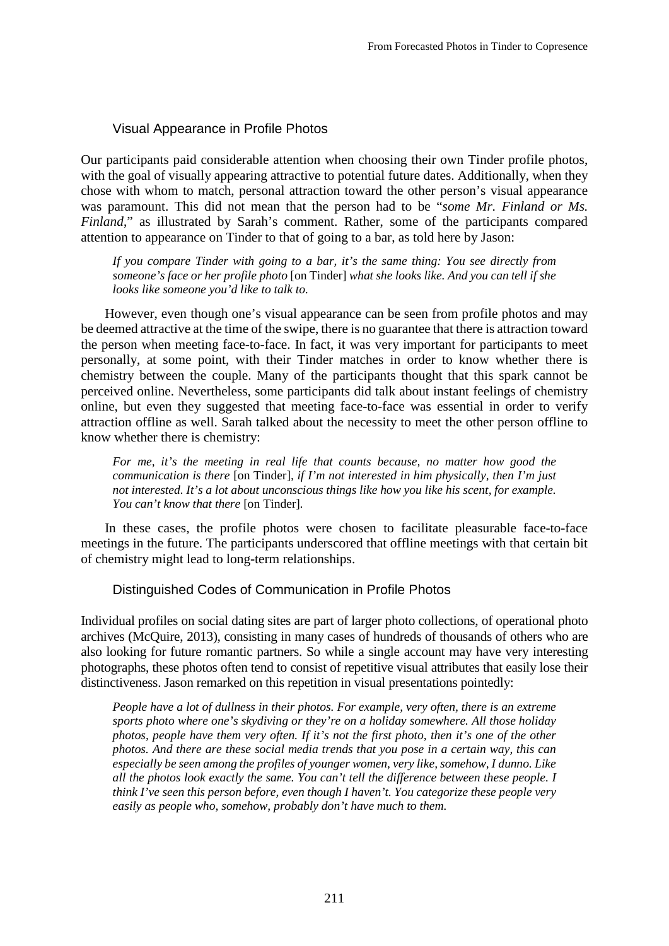### Visual Appearance in Profile Photos

Our participants paid considerable attention when choosing their own Tinder profile photos, with the goal of visually appearing attractive to potential future dates. Additionally, when they chose with whom to match, personal attraction toward the other person's visual appearance was paramount. This did not mean that the person had to be "*some Mr. Finland or Ms. Finland*," as illustrated by Sarah's comment. Rather, some of the participants compared attention to appearance on Tinder to that of going to a bar, as told here by Jason:

*If you compare Tinder with going to a bar, it's the same thing: You see directly from someone's face or her profile photo* [on Tinder] *what she looks like. And you can tell if she looks like someone you'd like to talk to.*

However, even though one's visual appearance can be seen from profile photos and may be deemed attractive at the time of the swipe, there is no guarantee that there is attraction toward the person when meeting face-to-face. In fact, it was very important for participants to meet personally, at some point, with their Tinder matches in order to know whether there is chemistry between the couple. Many of the participants thought that this spark cannot be perceived online. Nevertheless, some participants did talk about instant feelings of chemistry online, but even they suggested that meeting face-to-face was essential in order to verify attraction offline as well. Sarah talked about the necessity to meet the other person offline to know whether there is chemistry:

*For me, it's the meeting in real life that counts because, no matter how good the communication is there* [on Tinder]*, if I'm not interested in him physically, then I'm just not interested. It's a lot about unconscious things like how you like his scent, for example. You can't know that there* [on Tinder]*.*

In these cases, the profile photos were chosen to facilitate pleasurable face-to-face meetings in the future. The participants underscored that offline meetings with that certain bit of chemistry might lead to long-term relationships.

### Distinguished Codes of Communication in Profile Photos

Individual profiles on social dating sites are part of larger photo collections, of operational photo archives (McQuire, 2013), consisting in many cases of hundreds of thousands of others who are also looking for future romantic partners. So while a single account may have very interesting photographs, these photos often tend to consist of repetitive visual attributes that easily lose their distinctiveness. Jason remarked on this repetition in visual presentations pointedly:

*People have a lot of dullness in their photos. For example, very often, there is an extreme sports photo where one's skydiving or they're on a holiday somewhere. All those holiday photos, people have them very often. If it's not the first photo, then it's one of the other photos. And there are these social media trends that you pose in a certain way, this can especially be seen among the profiles of younger women, very like, somehow, I dunno. Like all the photos look exactly the same. You can't tell the difference between these people. I think I've seen this person before, even though I haven't. You categorize these people very easily as people who, somehow, probably don't have much to them.*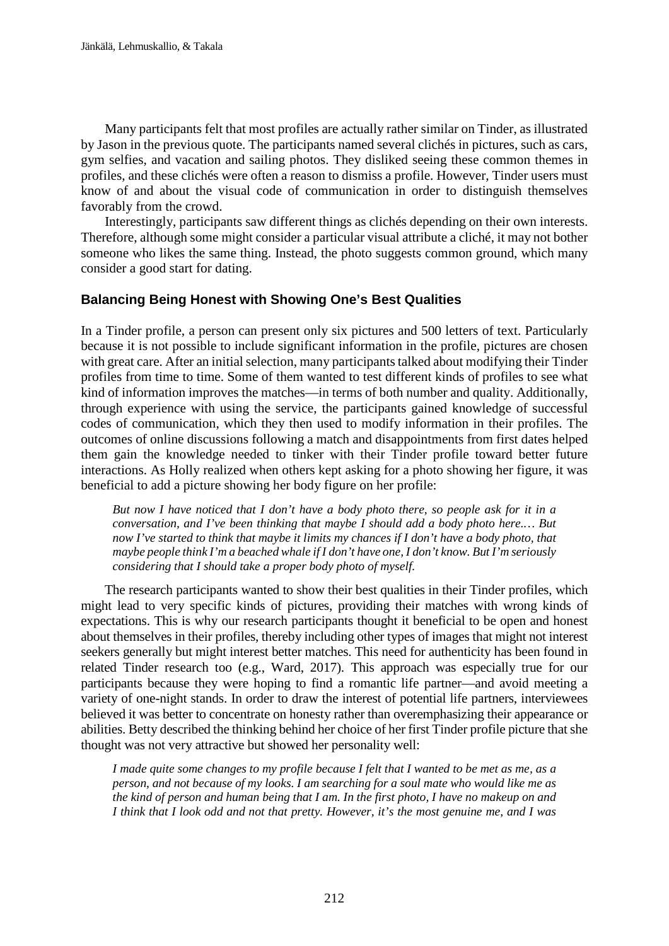Many participants felt that most profiles are actually rather similar on Tinder, as illustrated by Jason in the previous quote. The participants named several clichés in pictures, such as cars, gym selfies, and vacation and sailing photos. They disliked seeing these common themes in profiles, and these clichés were often a reason to dismiss a profile. However, Tinder users must know of and about the visual code of communication in order to distinguish themselves favorably from the crowd.

Interestingly, participants saw different things as clichés depending on their own interests. Therefore, although some might consider a particular visual attribute a cliché, it may not bother someone who likes the same thing. Instead, the photo suggests common ground, which many consider a good start for dating.

# **Balancing Being Honest with Showing One's Best Qualities**

In a Tinder profile, a person can present only six pictures and 500 letters of text. Particularly because it is not possible to include significant information in the profile, pictures are chosen with great care. After an initial selection, many participants talked about modifying their Tinder profiles from time to time. Some of them wanted to test different kinds of profiles to see what kind of information improves the matches—in terms of both number and quality. Additionally, through experience with using the service, the participants gained knowledge of successful codes of communication, which they then used to modify information in their profiles. The outcomes of online discussions following a match and disappointments from first dates helped them gain the knowledge needed to tinker with their Tinder profile toward better future interactions. As Holly realized when others kept asking for a photo showing her figure, it was beneficial to add a picture showing her body figure on her profile:

*But now I have noticed that I don't have a body photo there, so people ask for it in a conversation, and I've been thinking that maybe I should add a body photo here.… But now I've started to think that maybe it limits my chances if I don't have a body photo, that maybe people think I'm a beached whale if I don't have one, I don't know. But I'm seriously considering that I should take a proper body photo of myself.*

The research participants wanted to show their best qualities in their Tinder profiles, which might lead to very specific kinds of pictures, providing their matches with wrong kinds of expectations. This is why our research participants thought it beneficial to be open and honest about themselves in their profiles, thereby including other types of images that might not interest seekers generally but might interest better matches. This need for authenticity has been found in related Tinder research too (e.g., Ward, 2017). This approach was especially true for our participants because they were hoping to find a romantic life partner—and avoid meeting a variety of one-night stands. In order to draw the interest of potential life partners, interviewees believed it was better to concentrate on honesty rather than overemphasizing their appearance or abilities. Betty described the thinking behind her choice of her first Tinder profile picture that she thought was not very attractive but showed her personality well:

*I made quite some changes to my profile because I felt that I wanted to be met as me, as a person, and not because of my looks. I am searching for a soul mate who would like me as the kind of person and human being that I am. In the first photo, I have no makeup on and I think that I look odd and not that pretty. However, it's the most genuine me, and I was*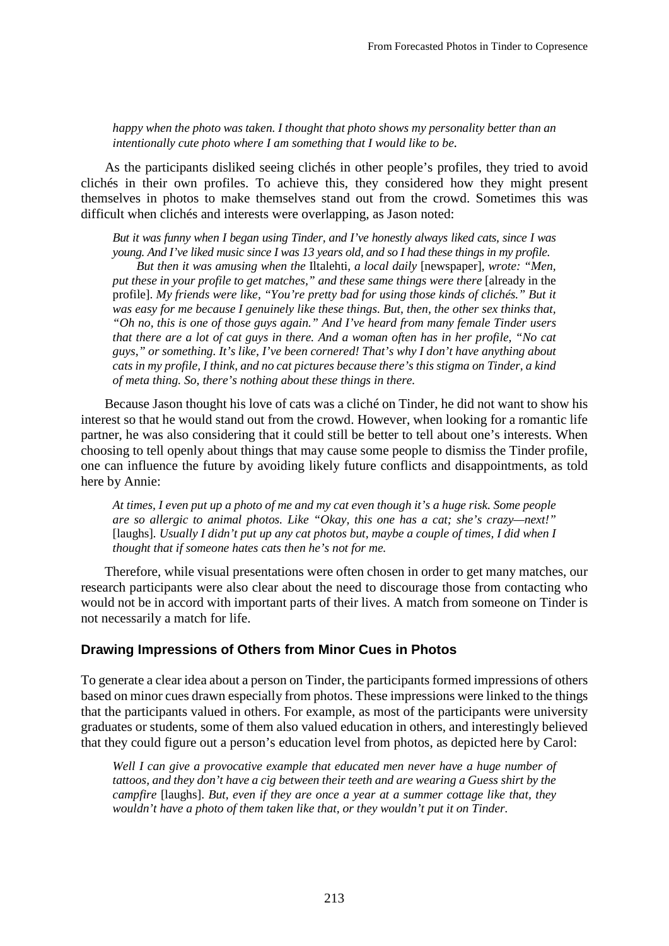*happy when the photo was taken. I thought that photo shows my personality better than an intentionally cute photo where I am something that I would like to be.*

As the participants disliked seeing clichés in other people's profiles, they tried to avoid clichés in their own profiles. To achieve this, they considered how they might present themselves in photos to make themselves stand out from the crowd. Sometimes this was difficult when clichés and interests were overlapping, as Jason noted:

*But it was funny when I began using Tinder, and I've honestly always liked cats, since I was young. And I've liked music since I was 13 years old, and so I had these things in my profile. But then it was amusing when the* Iltalehti*, a local daily* [newspaper], *wrote: "Men,* 

*put these in your profile to get matches," and these same things were there* [already in the profile]. *My friends were like, "You're pretty bad for using those kinds of clichés." But it was easy for me because I genuinely like these things. But, then, the other sex thinks that, "Oh no, this is one of those guys again." And I've heard from many female Tinder users that there are a lot of cat guys in there. And a woman often has in her profile, "No cat guys," or something. It's like, I've been cornered! That's why I don't have anything about cats in my profile, I think, and no cat pictures because there's this stigma on Tinder, a kind of meta thing. So, there's nothing about these things in there.*

Because Jason thought his love of cats was a cliché on Tinder, he did not want to show his interest so that he would stand out from the crowd. However, when looking for a romantic life partner, he was also considering that it could still be better to tell about one's interests. When choosing to tell openly about things that may cause some people to dismiss the Tinder profile, one can influence the future by avoiding likely future conflicts and disappointments, as told here by Annie:

*At times, I even put up a photo of me and my cat even though it's a huge risk. Some people are so allergic to animal photos. Like "Okay, this one has a cat; she's crazy—next!"*  [laughs]*. Usually I didn't put up any cat photos but, maybe a couple of times, I did when I thought that if someone hates cats then he's not for me.*

Therefore, while visual presentations were often chosen in order to get many matches, our research participants were also clear about the need to discourage those from contacting who would not be in accord with important parts of their lives. A match from someone on Tinder is not necessarily a match for life.

### **Drawing Impressions of Others from Minor Cues in Photos**

To generate a clear idea about a person on Tinder, the participants formed impressions of others based on minor cues drawn especially from photos. These impressions were linked to the things that the participants valued in others. For example, as most of the participants were university graduates or students, some of them also valued education in others, and interestingly believed that they could figure out a person's education level from photos, as depicted here by Carol:

*Well I can give a provocative example that educated men never have a huge number of tattoos, and they don't have a cig between their teeth and are wearing a Guess shirt by the campfire* [laughs]. *But, even if they are once a year at a summer cottage like that, they wouldn't have a photo of them taken like that, or they wouldn't put it on Tinder.*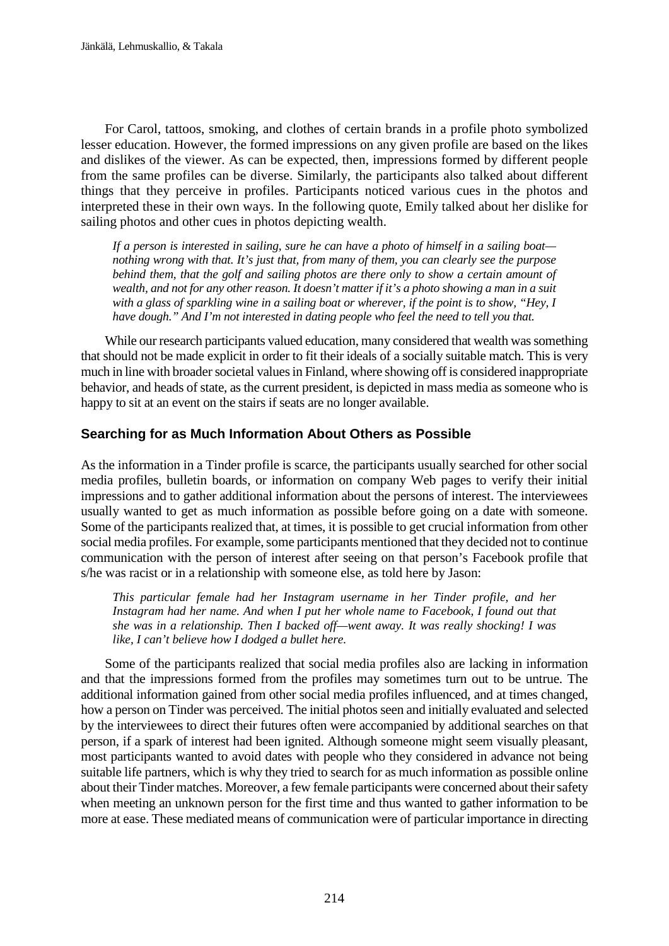For Carol, tattoos, smoking, and clothes of certain brands in a profile photo symbolized lesser education. However, the formed impressions on any given profile are based on the likes and dislikes of the viewer. As can be expected, then, impressions formed by different people from the same profiles can be diverse. Similarly, the participants also talked about different things that they perceive in profiles. Participants noticed various cues in the photos and interpreted these in their own ways. In the following quote, Emily talked about her dislike for sailing photos and other cues in photos depicting wealth.

*If a person is interested in sailing, sure he can have a photo of himself in a sailing boat nothing wrong with that. It's just that, from many of them, you can clearly see the purpose behind them, that the golf and sailing photos are there only to show a certain amount of wealth, and not for any other reason. It doesn't matter if it's a photo showing a man in a suit with a glass of sparkling wine in a sailing boat or wherever, if the point is to show, "Hey, I have dough." And I'm not interested in dating people who feel the need to tell you that.*

While our research participants valued education, many considered that wealth was something that should not be made explicit in order to fit their ideals of a socially suitable match. This is very much in line with broader societal values in Finland, where showing off is considered inappropriate behavior, and heads of state, as the current president, is depicted in mass media as someone who is happy to sit at an event on the stairs if seats are no longer available.

### **Searching for as Much Information About Others as Possible**

As the information in a Tinder profile is scarce, the participants usually searched for other social media profiles, bulletin boards, or information on company Web pages to verify their initial impressions and to gather additional information about the persons of interest. The interviewees usually wanted to get as much information as possible before going on a date with someone. Some of the participants realized that, at times, it is possible to get crucial information from other social media profiles. For example, some participants mentioned that they decided not to continue communication with the person of interest after seeing on that person's Facebook profile that s/he was racist or in a relationship with someone else, as told here by Jason:

*This particular female had her Instagram username in her Tinder profile, and her Instagram had her name. And when I put her whole name to Facebook, I found out that she was in a relationship. Then I backed off—went away. It was really shocking! I was like, I can't believe how I dodged a bullet here.*

Some of the participants realized that social media profiles also are lacking in information and that the impressions formed from the profiles may sometimes turn out to be untrue. The additional information gained from other social media profiles influenced, and at times changed, how a person on Tinder was perceived. The initial photos seen and initially evaluated and selected by the interviewees to direct their futures often were accompanied by additional searches on that person, if a spark of interest had been ignited. Although someone might seem visually pleasant, most participants wanted to avoid dates with people who they considered in advance not being suitable life partners, which is why they tried to search for as much information as possible online about their Tinder matches. Moreover, a few female participants were concerned about their safety when meeting an unknown person for the first time and thus wanted to gather information to be more at ease. These mediated means of communication were of particular importance in directing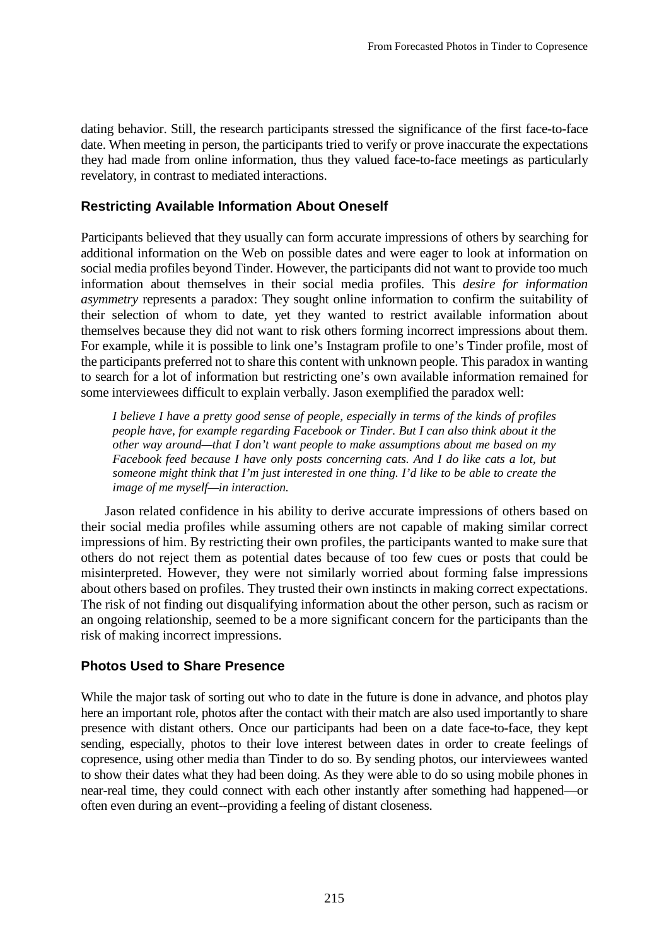dating behavior. Still, the research participants stressed the significance of the first face-to-face date. When meeting in person, the participants tried to verify or prove inaccurate the expectations they had made from online information, thus they valued face-to-face meetings as particularly revelatory, in contrast to mediated interactions.

# **Restricting Available Information About Oneself**

Participants believed that they usually can form accurate impressions of others by searching for additional information on the Web on possible dates and were eager to look at information on social media profiles beyond Tinder. However, the participants did not want to provide too much information about themselves in their social media profiles. This *desire for information asymmetry* represents a paradox: They sought online information to confirm the suitability of their selection of whom to date, yet they wanted to restrict available information about themselves because they did not want to risk others forming incorrect impressions about them. For example, while it is possible to link one's Instagram profile to one's Tinder profile, most of the participants preferred not to share this content with unknown people. This paradox in wanting to search for a lot of information but restricting one's own available information remained for some interviewees difficult to explain verbally. Jason exemplified the paradox well:

*I believe I have a pretty good sense of people, especially in terms of the kinds of profiles people have, for example regarding Facebook or Tinder. But I can also think about it the other way around—that I don't want people to make assumptions about me based on my Facebook feed because I have only posts concerning cats. And I do like cats a lot, but someone might think that I'm just interested in one thing. I'd like to be able to create the image of me myself—in interaction.*

Jason related confidence in his ability to derive accurate impressions of others based on their social media profiles while assuming others are not capable of making similar correct impressions of him. By restricting their own profiles, the participants wanted to make sure that others do not reject them as potential dates because of too few cues or posts that could be misinterpreted. However, they were not similarly worried about forming false impressions about others based on profiles. They trusted their own instincts in making correct expectations. The risk of not finding out disqualifying information about the other person, such as racism or an ongoing relationship, seemed to be a more significant concern for the participants than the risk of making incorrect impressions.

### **Photos Used to Share Presence**

While the major task of sorting out who to date in the future is done in advance, and photos play here an important role, photos after the contact with their match are also used importantly to share presence with distant others. Once our participants had been on a date face-to-face, they kept sending, especially, photos to their love interest between dates in order to create feelings of copresence, using other media than Tinder to do so. By sending photos, our interviewees wanted to show their dates what they had been doing. As they were able to do so using mobile phones in near-real time, they could connect with each other instantly after something had happened—or often even during an event--providing a feeling of distant closeness.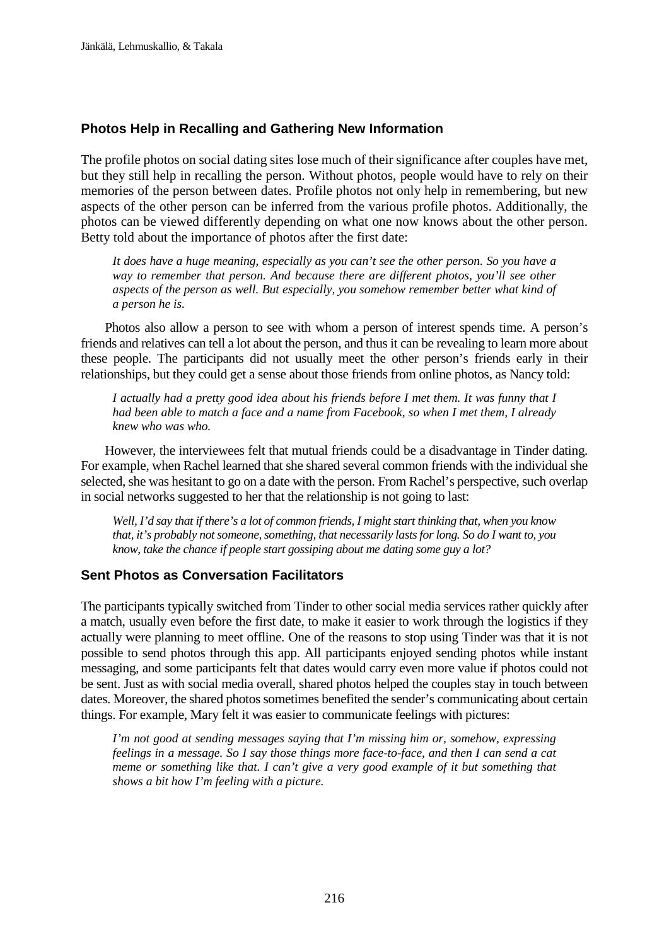# **Photos Help in Recalling and Gathering New Information**

The profile photos on social dating sites lose much of their significance after couples have met, but they still help in recalling the person. Without photos, people would have to rely on their memories of the person between dates. Profile photos not only help in remembering, but new aspects of the other person can be inferred from the various profile photos. Additionally, the photos can be viewed differently depending on what one now knows about the other person. Betty told about the importance of photos after the first date:

*It does have a huge meaning, especially as you can't see the other person. So you have a way to remember that person. And because there are different photos, you'll see other aspects of the person as well. But especially, you somehow remember better what kind of a person he is.*

Photos also allow a person to see with whom a person of interest spends time. A person's friends and relatives can tell a lot about the person, and thus it can be revealing to learn more about these people. The participants did not usually meet the other person's friends early in their relationships, but they could get a sense about those friends from online photos, as Nancy told:

*I actually had a pretty good idea about his friends before I met them. It was funny that I had been able to match a face and a name from Facebook, so when I met them, I already knew who was who.*

However, the interviewees felt that mutual friends could be a disadvantage in Tinder dating. For example, when Rachel learned that she shared several common friends with the individual she selected, she was hesitant to go on a date with the person. From Rachel's perspective, such overlap in social networks suggested to her that the relationship is not going to last:

*Well, I'd say that if there's a lot of common friends, I might start thinking that, when you know that, it's probably not someone, something, that necessarily lasts for long. So do I want to, you know, take the chance if people start gossiping about me dating some guy a lot?*

### **Sent Photos as Conversation Facilitators**

The participants typically switched from Tinder to other social media services rather quickly after a match, usually even before the first date, to make it easier to work through the logistics if they actually were planning to meet offline. One of the reasons to stop using Tinder was that it is not possible to send photos through this app. All participants enjoyed sending photos while instant messaging, and some participants felt that dates would carry even more value if photos could not be sent. Just as with social media overall, shared photos helped the couples stay in touch between dates. Moreover, the shared photos sometimes benefited the sender's communicating about certain things. For example, Mary felt it was easier to communicate feelings with pictures:

*I'm not good at sending messages saying that I'm missing him or, somehow, expressing feelings in a message. So I say those things more face-to-face, and then I can send a cat meme or something like that. I can't give a very good example of it but something that shows a bit how I'm feeling with a picture.*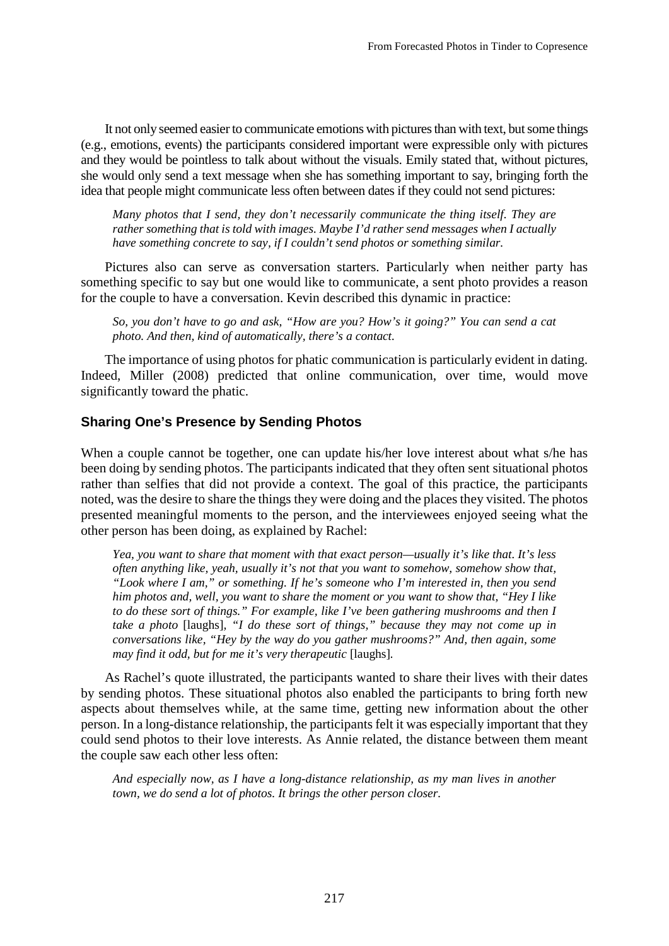It not only seemed easier to communicate emotions with pictures than with text, but some things (e.g., emotions, events) the participants considered important were expressible only with pictures and they would be pointless to talk about without the visuals. Emily stated that, without pictures, she would only send a text message when she has something important to say, bringing forth the idea that people might communicate less often between dates if they could not send pictures:

*Many photos that I send, they don't necessarily communicate the thing itself. They are rather something that is told with images. Maybe I'd rather send messages when I actually have something concrete to say, if I couldn't send photos or something similar.*

Pictures also can serve as conversation starters. Particularly when neither party has something specific to say but one would like to communicate, a sent photo provides a reason for the couple to have a conversation. Kevin described this dynamic in practice:

*So, you don't have to go and ask, "How are you? How's it going?" You can send a cat photo. And then, kind of automatically, there's a contact.*

The importance of using photos for phatic communication is particularly evident in dating. Indeed, Miller (2008) predicted that online communication, over time, would move significantly toward the phatic.

# **Sharing One's Presence by Sending Photos**

When a couple cannot be together, one can update his/her love interest about what s/he has been doing by sending photos. The participants indicated that they often sent situational photos rather than selfies that did not provide a context. The goal of this practice, the participants noted, was the desire to share the things they were doing and the places they visited. The photos presented meaningful moments to the person, and the interviewees enjoyed seeing what the other person has been doing, as explained by Rachel:

*Yea, you want to share that moment with that exact person—usually it's like that. It's less often anything like, yeah, usually it's not that you want to somehow, somehow show that, "Look where I am," or something. If he's someone who I'm interested in, then you send him photos and, well, you want to share the moment or you want to show that, "Hey I like to do these sort of things." For example, like I've been gathering mushrooms and then I take a photo* [laughs]*, "I do these sort of things," because they may not come up in conversations like, "Hey by the way do you gather mushrooms?" And, then again, some may find it odd, but for me it's very therapeutic* [laughs]*.*

As Rachel's quote illustrated, the participants wanted to share their lives with their dates by sending photos. These situational photos also enabled the participants to bring forth new aspects about themselves while, at the same time, getting new information about the other person. In a long-distance relationship, the participants felt it was especially important that they could send photos to their love interests. As Annie related, the distance between them meant the couple saw each other less often:

*And especially now, as I have a long-distance relationship, as my man lives in another town, we do send a lot of photos. It brings the other person closer.*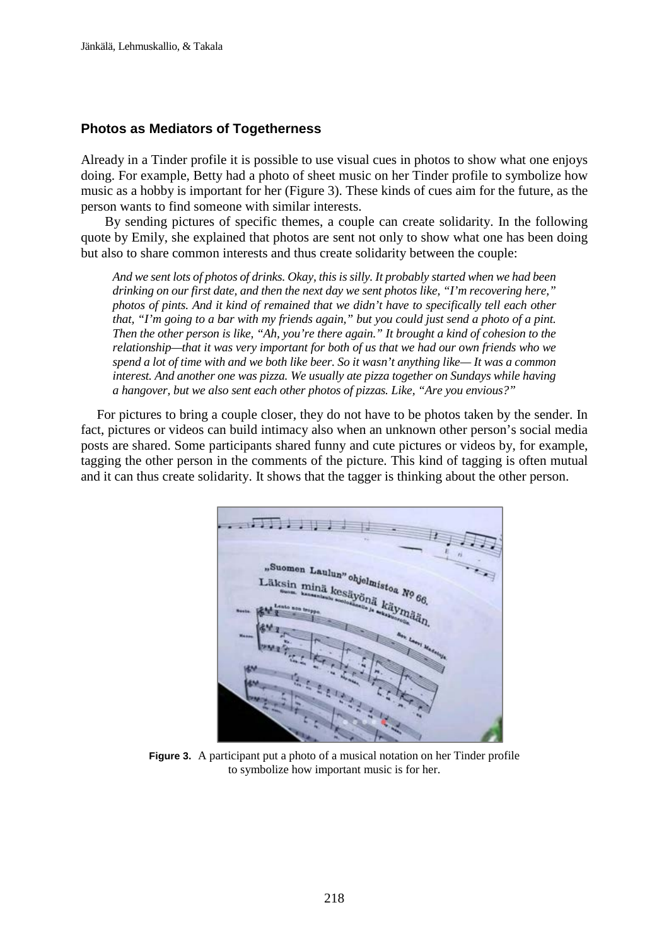#### **Photos as Mediators of Togetherness**

Already in a Tinder profile it is possible to use visual cues in photos to show what one enjoys doing. For example, Betty had a photo of sheet music on her Tinder profile to symbolize how music as a hobby is important for her (Figure 3). These kinds of cues aim for the future, as the person wants to find someone with similar interests.

By sending pictures of specific themes, a couple can create solidarity. In the following quote by Emily, she explained that photos are sent not only to show what one has been doing but also to share common interests and thus create solidarity between the couple:

*And we sent lots of photos of drinks. Okay, this is silly. It probably started when we had been drinking on our first date, and then the next day we sent photos like, "I'm recovering here," photos of pints. And it kind of remained that we didn't have to specifically tell each other that, "I'm going to a bar with my friends again," but you could just send a photo of a pint. Then the other person is like, "Ah, you're there again." It brought a kind of cohesion to the relationship—that it was very important for both of us that we had our own friends who we spend a lot of time with and we both like beer. So it wasn't anything like— It was a common interest. And another one was pizza. We usually ate pizza together on Sundays while having a hangover, but we also sent each other photos of pizzas. Like, "Are you envious?"*

For pictures to bring a couple closer, they do not have to be photos taken by the sender. In fact, pictures or videos can build intimacy also when an unknown other person's social media posts are shared. Some participants shared funny and cute pictures or videos by, for example, tagging the other person in the comments of the picture. This kind of tagging is often mutual and it can thus create solidarity. It shows that the tagger is thinking about the other person.



**Figure 3.** A participant put a photo of a musical notation on her Tinder profile to symbolize how important music is for her.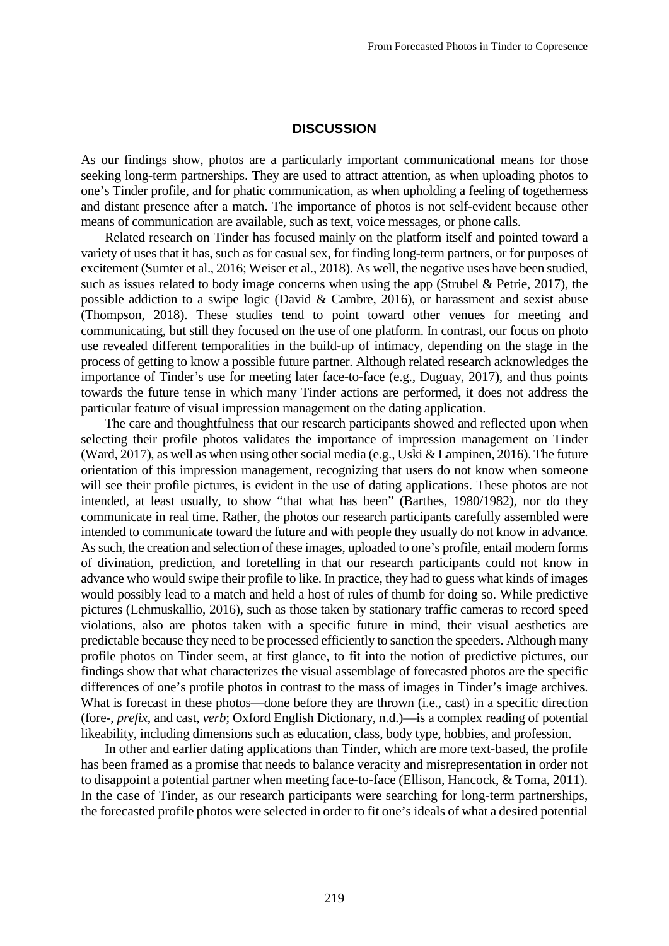#### **DISCUSSION**

As our findings show, photos are a particularly important communicational means for those seeking long-term partnerships. They are used to attract attention, as when uploading photos to one's Tinder profile, and for phatic communication, as when upholding a feeling of togetherness and distant presence after a match. The importance of photos is not self-evident because other means of communication are available, such as text, voice messages, or phone calls.

Related research on Tinder has focused mainly on the platform itself and pointed toward a variety of uses that it has, such as for casual sex, for finding long-term partners, or for purposes of excitement (Sumter et al., 2016; Weiser et al., 2018). As well, the negative uses have been studied, such as issues related to body image concerns when using the app (Strubel & Petrie, 2017), the possible addiction to a swipe logic (David & Cambre, 2016), or harassment and sexist abuse (Thompson, 2018). These studies tend to point toward other venues for meeting and communicating, but still they focused on the use of one platform. In contrast, our focus on photo use revealed different temporalities in the build-up of intimacy, depending on the stage in the process of getting to know a possible future partner. Although related research acknowledges the importance of Tinder's use for meeting later face-to-face (e.g., Duguay, 2017), and thus points towards the future tense in which many Tinder actions are performed, it does not address the particular feature of visual impression management on the dating application.

The care and thoughtfulness that our research participants showed and reflected upon when selecting their profile photos validates the importance of impression management on Tinder (Ward, 2017), as well as when using other social media (e.g., Uski & Lampinen, 2016). The future orientation of this impression management, recognizing that users do not know when someone will see their profile pictures, is evident in the use of dating applications. These photos are not intended, at least usually, to show "that what has been" (Barthes, 1980/1982), nor do they communicate in real time. Rather, the photos our research participants carefully assembled were intended to communicate toward the future and with people they usually do not know in advance. As such, the creation and selection of these images, uploaded to one's profile, entail modern forms of divination, prediction, and foretelling in that our research participants could not know in advance who would swipe their profile to like. In practice, they had to guess what kinds of images would possibly lead to a match and held a host of rules of thumb for doing so. While predictive pictures (Lehmuskallio, 2016), such as those taken by stationary traffic cameras to record speed violations, also are photos taken with a specific future in mind, their visual aesthetics are predictable because they need to be processed efficiently to sanction the speeders. Although many profile photos on Tinder seem, at first glance, to fit into the notion of predictive pictures, our findings show that what characterizes the visual assemblage of forecasted photos are the specific differences of one's profile photos in contrast to the mass of images in Tinder's image archives. What is forecast in these photos—done before they are thrown (i.e., cast) in a specific direction (fore-, *prefix*, and cast, *verb*; Oxford English Dictionary, n.d.)—is a complex reading of potential likeability, including dimensions such as education, class, body type, hobbies, and profession.

In other and earlier dating applications than Tinder, which are more text-based, the profile has been framed as a promise that needs to balance veracity and misrepresentation in order not to disappoint a potential partner when meeting face-to-face (Ellison, Hancock, & Toma, 2011). In the case of Tinder, as our research participants were searching for long-term partnerships, the forecasted profile photos were selected in order to fit one's ideals of what a desired potential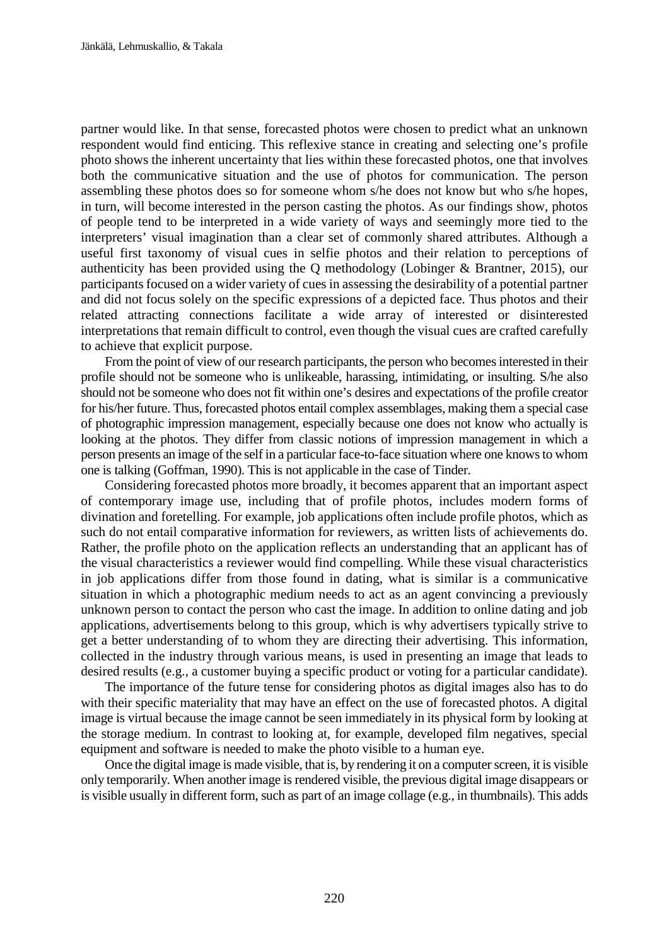partner would like. In that sense, forecasted photos were chosen to predict what an unknown respondent would find enticing. This reflexive stance in creating and selecting one's profile photo shows the inherent uncertainty that lies within these forecasted photos, one that involves both the communicative situation and the use of photos for communication. The person assembling these photos does so for someone whom s/he does not know but who s/he hopes, in turn, will become interested in the person casting the photos. As our findings show, photos of people tend to be interpreted in a wide variety of ways and seemingly more tied to the interpreters' visual imagination than a clear set of commonly shared attributes. Although a useful first taxonomy of visual cues in selfie photos and their relation to perceptions of authenticity has been provided using the Q methodology (Lobinger & Brantner, 2015), our participants focused on a wider variety of cues in assessing the desirability of a potential partner and did not focus solely on the specific expressions of a depicted face. Thus photos and their related attracting connections facilitate a wide array of interested or disinterested interpretations that remain difficult to control, even though the visual cues are crafted carefully to achieve that explicit purpose.

From the point of view of our research participants, the person who becomes interested in their profile should not be someone who is unlikeable, harassing, intimidating, or insulting. S/he also should not be someone who does not fit within one's desires and expectations of the profile creator for his/her future. Thus, forecasted photos entail complex assemblages, making them a special case of photographic impression management, especially because one does not know who actually is looking at the photos. They differ from classic notions of impression management in which a person presents an image of the self in a particular face-to-face situation where one knows to whom one is talking (Goffman, 1990). This is not applicable in the case of Tinder.

Considering forecasted photos more broadly, it becomes apparent that an important aspect of contemporary image use, including that of profile photos, includes modern forms of divination and foretelling. For example, job applications often include profile photos, which as such do not entail comparative information for reviewers, as written lists of achievements do. Rather, the profile photo on the application reflects an understanding that an applicant has of the visual characteristics a reviewer would find compelling. While these visual characteristics in job applications differ from those found in dating, what is similar is a communicative situation in which a photographic medium needs to act as an agent convincing a previously unknown person to contact the person who cast the image. In addition to online dating and job applications, advertisements belong to this group, which is why advertisers typically strive to get a better understanding of to whom they are directing their advertising. This information, collected in the industry through various means, is used in presenting an image that leads to desired results (e.g., a customer buying a specific product or voting for a particular candidate).

The importance of the future tense for considering photos as digital images also has to do with their specific materiality that may have an effect on the use of forecasted photos. A digital image is virtual because the image cannot be seen immediately in its physical form by looking at the storage medium. In contrast to looking at, for example, developed film negatives, special equipment and software is needed to make the photo visible to a human eye.

Once the digital image is made visible, that is, by rendering it on a computer screen, it is visible only temporarily. When another image is rendered visible, the previous digital image disappears or is visible usually in different form, such as part of an image collage (e.g., in thumbnails). This adds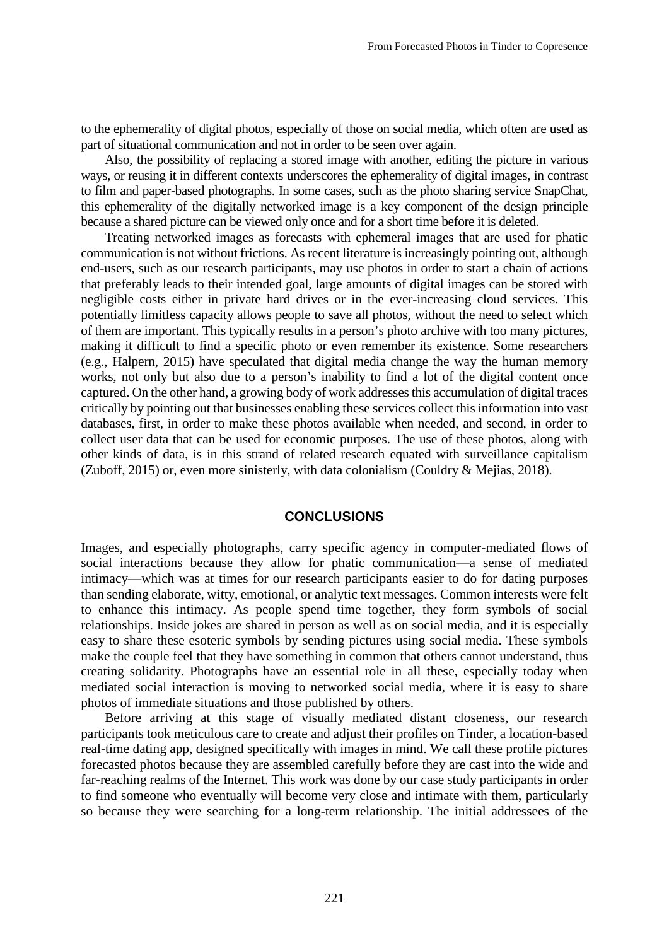to the ephemerality of digital photos, especially of those on social media, which often are used as part of situational communication and not in order to be seen over again.

Also, the possibility of replacing a stored image with another, editing the picture in various ways, or reusing it in different contexts underscores the ephemerality of digital images, in contrast to film and paper-based photographs. In some cases, such as the photo sharing service SnapChat, this ephemerality of the digitally networked image is a key component of the design principle because a shared picture can be viewed only once and for a short time before it is deleted.

Treating networked images as forecasts with ephemeral images that are used for phatic communication is not without frictions. As recent literature is increasingly pointing out, although end-users, such as our research participants, may use photos in order to start a chain of actions that preferably leads to their intended goal, large amounts of digital images can be stored with negligible costs either in private hard drives or in the ever-increasing cloud services. This potentially limitless capacity allows people to save all photos, without the need to select which of them are important. This typically results in a person's photo archive with too many pictures, making it difficult to find a specific photo or even remember its existence. Some researchers (e.g., Halpern, 2015) have speculated that digital media change the way the human memory works, not only but also due to a person's inability to find a lot of the digital content once captured. On the other hand, a growing body of work addresses this accumulation of digital traces critically by pointing out that businesses enabling these services collect this information into vast databases, first, in order to make these photos available when needed, and second, in order to collect user data that can be used for economic purposes. The use of these photos, along with other kinds of data, is in this strand of related research equated with surveillance capitalism (Zuboff, 2015) or, even more sinisterly, with data colonialism (Couldry & Mejias, 2018).

#### **CONCLUSIONS**

Images, and especially photographs, carry specific agency in computer-mediated flows of social interactions because they allow for phatic communication—a sense of mediated intimacy—which was at times for our research participants easier to do for dating purposes than sending elaborate, witty, emotional, or analytic text messages. Common interests were felt to enhance this intimacy. As people spend time together, they form symbols of social relationships. Inside jokes are shared in person as well as on social media, and it is especially easy to share these esoteric symbols by sending pictures using social media. These symbols make the couple feel that they have something in common that others cannot understand, thus creating solidarity. Photographs have an essential role in all these, especially today when mediated social interaction is moving to networked social media, where it is easy to share photos of immediate situations and those published by others.

Before arriving at this stage of visually mediated distant closeness, our research participants took meticulous care to create and adjust their profiles on Tinder, a location-based real-time dating app, designed specifically with images in mind. We call these profile pictures forecasted photos because they are assembled carefully before they are cast into the wide and far-reaching realms of the Internet. This work was done by our case study participants in order to find someone who eventually will become very close and intimate with them, particularly so because they were searching for a long-term relationship. The initial addressees of the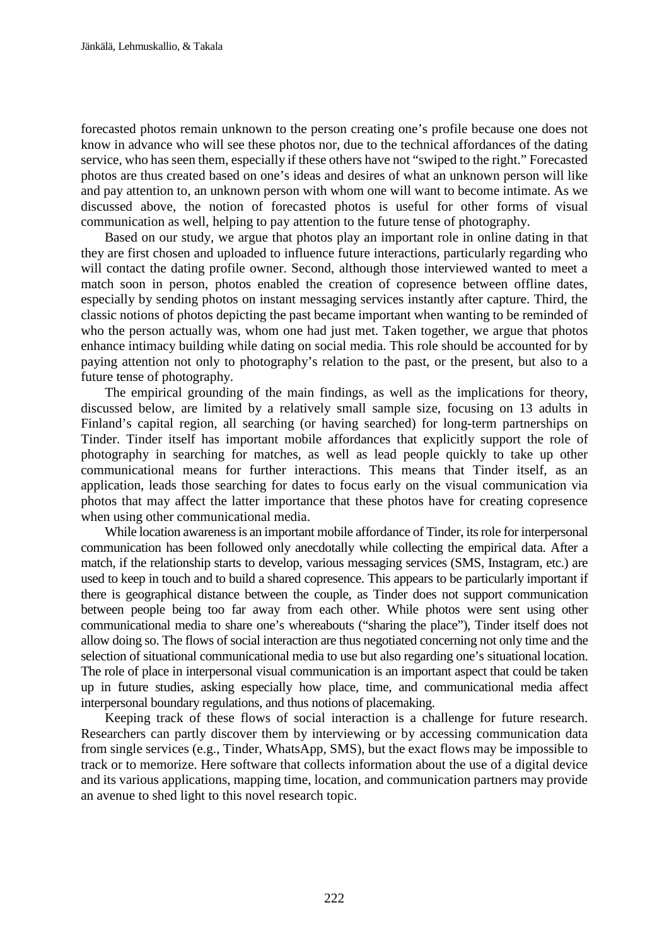forecasted photos remain unknown to the person creating one's profile because one does not know in advance who will see these photos nor, due to the technical affordances of the dating service, who has seen them, especially if these others have not "swiped to the right." Forecasted photos are thus created based on one's ideas and desires of what an unknown person will like and pay attention to, an unknown person with whom one will want to become intimate. As we discussed above, the notion of forecasted photos is useful for other forms of visual communication as well, helping to pay attention to the future tense of photography.

Based on our study, we argue that photos play an important role in online dating in that they are first chosen and uploaded to influence future interactions, particularly regarding who will contact the dating profile owner. Second, although those interviewed wanted to meet a match soon in person, photos enabled the creation of copresence between offline dates, especially by sending photos on instant messaging services instantly after capture. Third, the classic notions of photos depicting the past became important when wanting to be reminded of who the person actually was, whom one had just met. Taken together, we argue that photos enhance intimacy building while dating on social media. This role should be accounted for by paying attention not only to photography's relation to the past, or the present, but also to a future tense of photography.

The empirical grounding of the main findings, as well as the implications for theory, discussed below, are limited by a relatively small sample size, focusing on 13 adults in Finland's capital region, all searching (or having searched) for long-term partnerships on Tinder. Tinder itself has important mobile affordances that explicitly support the role of photography in searching for matches, as well as lead people quickly to take up other communicational means for further interactions. This means that Tinder itself, as an application, leads those searching for dates to focus early on the visual communication via photos that may affect the latter importance that these photos have for creating copresence when using other communicational media.

While location awareness is an important mobile affordance of Tinder, its role for interpersonal communication has been followed only anecdotally while collecting the empirical data. After a match, if the relationship starts to develop, various messaging services (SMS, Instagram, etc.) are used to keep in touch and to build a shared copresence. This appears to be particularly important if there is geographical distance between the couple, as Tinder does not support communication between people being too far away from each other. While photos were sent using other communicational media to share one's whereabouts ("sharing the place"), Tinder itself does not allow doing so. The flows of social interaction are thus negotiated concerning not only time and the selection of situational communicational media to use but also regarding one's situational location. The role of place in interpersonal visual communication is an important aspect that could be taken up in future studies, asking especially how place, time, and communicational media affect interpersonal boundary regulations, and thus notions of placemaking.

Keeping track of these flows of social interaction is a challenge for future research. Researchers can partly discover them by interviewing or by accessing communication data from single services (e.g., Tinder, WhatsApp, SMS), but the exact flows may be impossible to track or to memorize. Here software that collects information about the use of a digital device and its various applications, mapping time, location, and communication partners may provide an avenue to shed light to this novel research topic.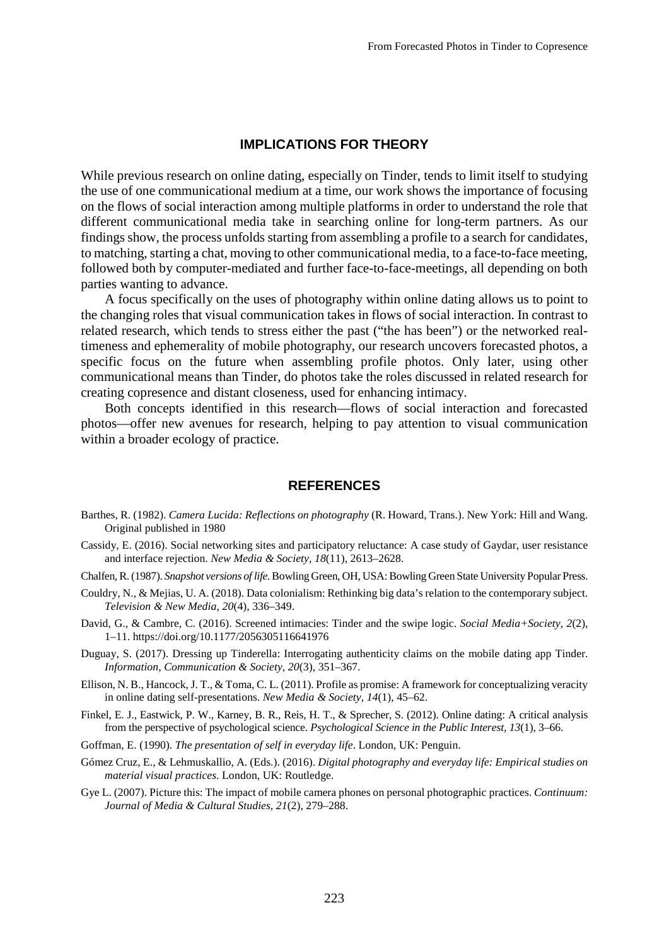### **IMPLICATIONS FOR THEORY**

While previous research on online dating, especially on Tinder, tends to limit itself to studying the use of one communicational medium at a time, our work shows the importance of focusing on the flows of social interaction among multiple platforms in order to understand the role that different communicational media take in searching online for long-term partners. As our findings show, the process unfolds starting from assembling a profile to a search for candidates, to matching, starting a chat, moving to other communicational media, to a face-to-face meeting, followed both by computer-mediated and further face-to-face-meetings, all depending on both parties wanting to advance.

A focus specifically on the uses of photography within online dating allows us to point to the changing roles that visual communication takes in flows of social interaction. In contrast to related research, which tends to stress either the past ("the has been") or the networked realtimeness and ephemerality of mobile photography, our research uncovers forecasted photos, a specific focus on the future when assembling profile photos. Only later, using other communicational means than Tinder, do photos take the roles discussed in related research for creating copresence and distant closeness, used for enhancing intimacy.

Both concepts identified in this research—flows of social interaction and forecasted photos—offer new avenues for research, helping to pay attention to visual communication within a broader ecology of practice.

#### **REFERENCES**

- Barthes, R. (1982). *Camera Lucida: Reflections on photography* (R. Howard, Trans.). New York: Hill and Wang. Original published in 1980
- Cassidy, E. (2016). Social networking sites and participatory reluctance: A case study of Gaydar, user resistance and interface rejection. *New Media & Society, 18*(11), 2613–2628.
- Chalfen, R. (1987). *Snapshot versions of life*. Bowling Green, OH, USA: Bowling Green State University Popular Press.
- Couldry, N., & Mejias, U. A. (2018). Data colonialism: Rethinking big data's relation to the contemporary subject. *Television & New Media*, *20*(4), 336–349.
- David, G., & Cambre, C. (2016). Screened intimacies: Tinder and the swipe logic. *Social Media+Society, 2*(2), 1–11.<https://doi.org/10.1177/2056305116641976>
- Duguay, S. (2017). Dressing up Tinderella: Interrogating authenticity claims on the mobile dating app Tinder. *Information, Communication & Society, 20*(3), 351–367.
- Ellison, N. B., Hancock, J. T., & Toma, C. L. (2011). Profile as promise: A framework for conceptualizing veracity in online dating self-presentations. *New Media & Society, 14*(1), 45–62.
- Finkel, E. J., Eastwick, P. W., Karney, B. R., Reis, H. T., & Sprecher, S. (2012). Online dating: A critical analysis from the perspective of psychological science. *Psychological Science in the Public Interest, 13*(1), 3–66.
- Goffman, E. (1990). *The presentation of self in everyday life*. London, UK: Penguin.
- Gómez Cruz, E., & Lehmuskallio, A. (Eds.). (2016). *Digital photography and everyday life: Empirical studies on material visual practices*. London, UK: Routledge.
- Gye L. (2007). Picture this: The impact of mobile camera phones on personal photographic practices. *Continuum: Journal of Media & Cultural Studies, 21*(2), 279–288.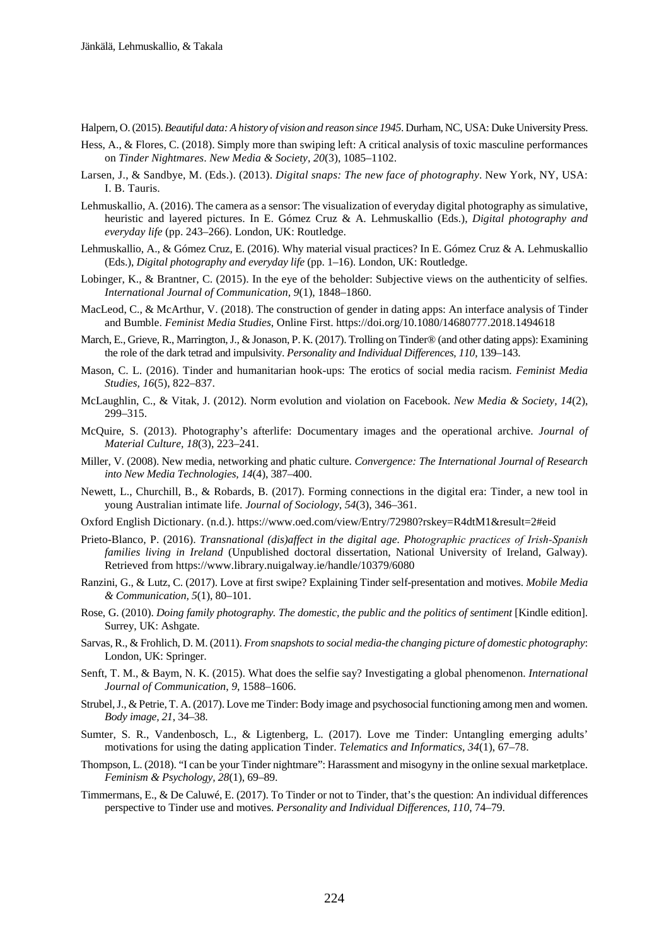Halpern, O. (2015). *Beautiful data: A history of vision and reason since 1945*. Durham, NC, USA: Duke University Press.

- Hess, A., & Flores, C. (2018). Simply more than swiping left: A critical analysis of toxic masculine performances on *Tinder Nightmares*. *New Media & Society, 20*(3), 1085–1102.
- Larsen, J., & Sandbye, M. (Eds.). (2013). *Digital snaps: The new face of photography*. New York, NY, USA: I. B. Tauris.
- Lehmuskallio, A. (2016). The camera as a sensor: The visualization of everyday digital photography as simulative, heuristic and layered pictures. In E. Gómez Cruz & A. Lehmuskallio (Eds.), *Digital photography and everyday life* (pp. 243–266). London, UK: Routledge.
- Lehmuskallio, A., & Gómez Cruz, E. (2016). Why material visual practices? In E. Gómez Cruz & A. Lehmuskallio (Eds.), *Digital photography and everyday life* (pp. 1–16). London, UK: Routledge.
- Lobinger, K., & Brantner, C. (2015). In the eye of the beholder: Subjective views on the authenticity of selfies. *International Journal of Communication, 9*(1), 1848–1860.
- MacLeod, C., & McArthur, V. (2018). The construction of gender in dating apps: An interface analysis of Tinder and Bumble. *Feminist Media Studies*, Online First. https://doi.org/10.1080/14680777.2018.1494618
- March, E., Grieve, R., Marrington, J., & Jonason, P. K. (2017). Trolling on Tinder® (and other dating apps): Examining the role of the dark tetrad and impulsivity. *Personality and Individual Differences, 110*, 139–143.
- Mason, C. L. (2016). Tinder and humanitarian hook-ups: The erotics of social media racism. *Feminist Media Studies, 16*(5), 822–837.
- McLaughlin, C., & Vitak, J. (2012). Norm evolution and violation on Facebook. *New Media & Society, 14*(2), 299–315.
- McQuire, S. (2013). Photography's afterlife: Documentary images and the operational archive. *Journal of Material Culture, 18*(3), 223–241.
- Miller, V. (2008). New media, networking and phatic culture. *Convergence: The International Journal of Research into New Media Technologies, 14*(4), 387–400.
- Newett, L., Churchill, B., & Robards, B. (2017). Forming connections in the digital era: Tinder, a new tool in young Australian intimate life. *Journal of Sociology*, *54*(3), 346–361.
- Oxford English Dictionary. (n.d.). https://www.oed.com/view/Entry/72980?rskey=R4dtM1&result=2#eid
- Prieto-Blanco, P. (2016). *Transnational (dis)affect in the digital age. Photographic practices of Irish‐Spanish families living in Ireland* (Unpublished doctoral dissertation, National University of Ireland, Galway). Retrieved from https://www.library.nuigalway.ie/handle/10379/6080
- Ranzini, G., & Lutz, C. (2017). Love at first swipe? Explaining Tinder self-presentation and motives. *Mobile Media & Communication, 5*(1), 80–101.
- Rose, G. (2010). *Doing family photography. The domestic, the public and the politics of sentiment* [Kindle edition]. Surrey, UK: Ashgate.
- Sarvas, R., & Frohlich, D. M. (2011). *From snapshots to social media-the changing picture of domestic photography*: London, UK: Springer.
- Senft, T. M., & Baym, N. K. (2015). What does the selfie say? Investigating a global phenomenon. *International Journal of Communication*, *9*, 1588–1606.
- Strubel, J., & Petrie, T. A. (2017). Love me Tinder: Body image and psychosocial functioning among men and women. *Body image, 21*, 34–38.
- Sumter, S. R., Vandenbosch, L., & Ligtenberg, L. (2017). Love me Tinder: Untangling emerging adults' motivations for using the dating application Tinder. *Telematics and Informatics, 34*(1), 67–78.
- Thompson, L. (2018). "I can be your Tinder nightmare": Harassment and misogyny in the online sexual marketplace. *Feminism & Psychology, 28*(1), 69–89.
- Timmermans, E., & De Caluwé, E. (2017). To Tinder or not to Tinder, that's the question: An individual differences perspective to Tinder use and motives. *Personality and Individual Differences, 110*, 74–79.